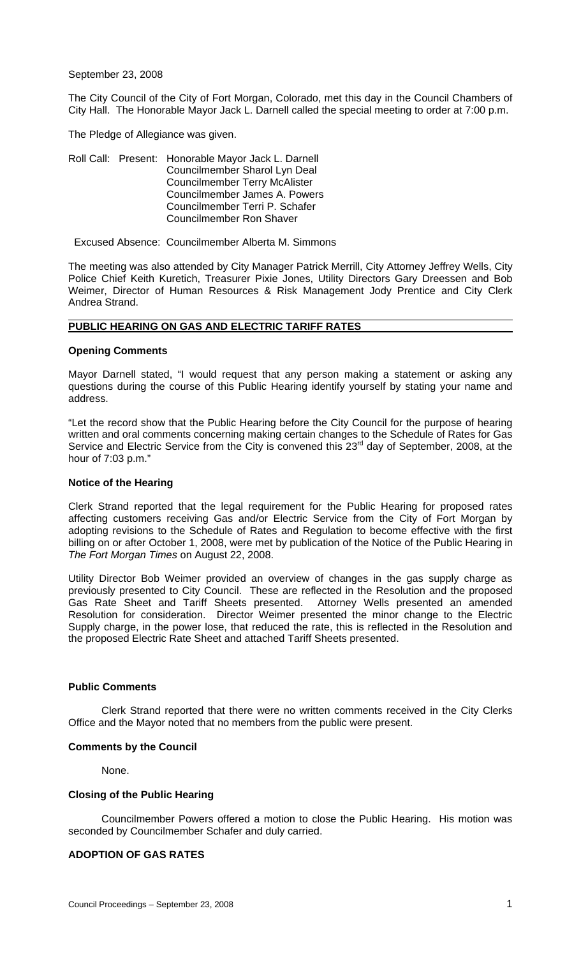September 23, 2008

The City Council of the City of Fort Morgan, Colorado, met this day in the Council Chambers of City Hall. The Honorable Mayor Jack L. Darnell called the special meeting to order at 7:00 p.m.

The Pledge of Allegiance was given.

Roll Call: Present: Honorable Mayor Jack L. Darnell Councilmember Sharol Lyn Deal Councilmember Terry McAlister Councilmember James A. Powers Councilmember Terri P. Schafer Councilmember Ron Shaver

Excused Absence: Councilmember Alberta M. Simmons

The meeting was also attended by City Manager Patrick Merrill, City Attorney Jeffrey Wells, City Police Chief Keith Kuretich, Treasurer Pixie Jones, Utility Directors Gary Dreessen and Bob Weimer, Director of Human Resources & Risk Management Jody Prentice and City Clerk Andrea Strand.

#### **PUBLIC HEARING ON GAS AND ELECTRIC TARIFF RATES**

#### **Opening Comments**

Mayor Darnell stated, "I would request that any person making a statement or asking any questions during the course of this Public Hearing identify yourself by stating your name and address.

"Let the record show that the Public Hearing before the City Council for the purpose of hearing written and oral comments concerning making certain changes to the Schedule of Rates for Gas Service and Electric Service from the City is convened this 23<sup>rd</sup> day of September, 2008, at the hour of 7:03 p.m."

#### **Notice of the Hearing**

Clerk Strand reported that the legal requirement for the Public Hearing for proposed rates affecting customers receiving Gas and/or Electric Service from the City of Fort Morgan by adopting revisions to the Schedule of Rates and Regulation to become effective with the first billing on or after October 1, 2008, were met by publication of the Notice of the Public Hearing in *The Fort Morgan Times* on August 22, 2008.

Utility Director Bob Weimer provided an overview of changes in the gas supply charge as previously presented to City Council. These are reflected in the Resolution and the proposed Gas Rate Sheet and Tariff Sheets presented. Attorney Wells presented an amended Resolution for consideration. Director Weimer presented the minor change to the Electric Supply charge, in the power lose, that reduced the rate, this is reflected in the Resolution and the proposed Electric Rate Sheet and attached Tariff Sheets presented.

#### **Public Comments**

Clerk Strand reported that there were no written comments received in the City Clerks Office and the Mayor noted that no members from the public were present.

### **Comments by the Council**

None.

### **Closing of the Public Hearing**

 Councilmember Powers offered a motion to close the Public Hearing. His motion was seconded by Councilmember Schafer and duly carried.

### **ADOPTION OF GAS RATES**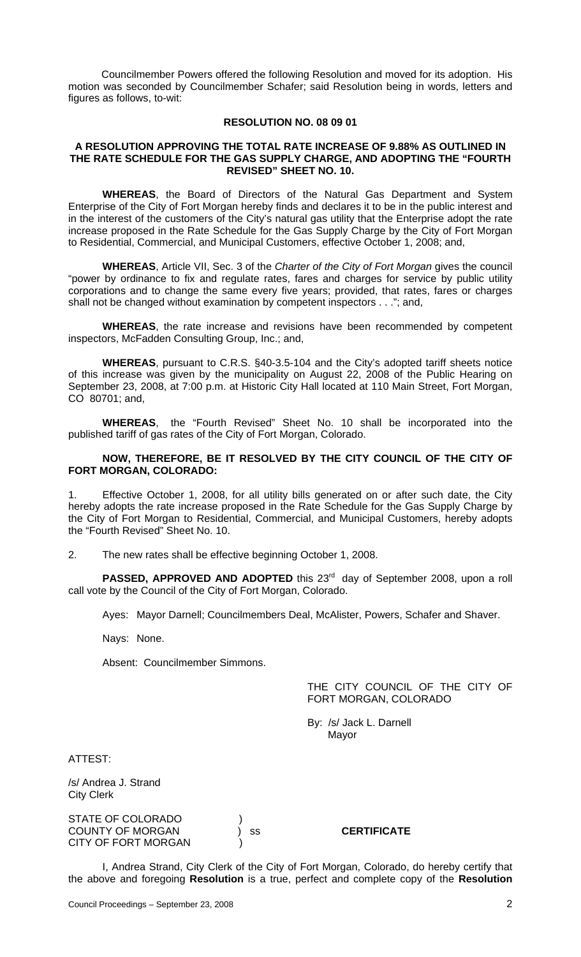Councilmember Powers offered the following Resolution and moved for its adoption. His motion was seconded by Councilmember Schafer; said Resolution being in words, letters and figures as follows, to-wit:

### **RESOLUTION NO. 08 09 01**

#### **A RESOLUTION APPROVING THE TOTAL RATE INCREASE OF 9.88% AS OUTLINED IN THE RATE SCHEDULE FOR THE GAS SUPPLY CHARGE, AND ADOPTING THE "FOURTH REVISED" SHEET NO. 10.**

**WHEREAS**, the Board of Directors of the Natural Gas Department and System Enterprise of the City of Fort Morgan hereby finds and declares it to be in the public interest and in the interest of the customers of the City's natural gas utility that the Enterprise adopt the rate increase proposed in the Rate Schedule for the Gas Supply Charge by the City of Fort Morgan to Residential, Commercial, and Municipal Customers, effective October 1, 2008; and,

**WHEREAS**, Article VII, Sec. 3 of the *Charter of the City of Fort Morgan* gives the council "power by ordinance to fix and regulate rates, fares and charges for service by public utility corporations and to change the same every five years; provided, that rates, fares or charges shall not be changed without examination by competent inspectors . . ."; and,

**WHEREAS**, the rate increase and revisions have been recommended by competent inspectors, McFadden Consulting Group, Inc.; and,

**WHEREAS**, pursuant to C.R.S. §40-3.5-104 and the City's adopted tariff sheets notice of this increase was given by the municipality on August 22, 2008 of the Public Hearing on September 23, 2008, at 7:00 p.m. at Historic City Hall located at 110 Main Street, Fort Morgan, CO 80701; and,

**WHEREAS**, the "Fourth Revised" Sheet No. 10 shall be incorporated into the published tariff of gas rates of the City of Fort Morgan, Colorado.

### **NOW, THEREFORE, BE IT RESOLVED BY THE CITY COUNCIL OF THE CITY OF FORT MORGAN, COLORADO:**

1. Effective October 1, 2008, for all utility bills generated on or after such date, the City hereby adopts the rate increase proposed in the Rate Schedule for the Gas Supply Charge by the City of Fort Morgan to Residential, Commercial, and Municipal Customers, hereby adopts the "Fourth Revised" Sheet No. 10.

2. The new rates shall be effective beginning October 1, 2008.

**PASSED, APPROVED AND ADOPTED** this 23<sup>rd</sup> day of September 2008, upon a roll call vote by the Council of the City of Fort Morgan, Colorado.

Ayes: Mayor Darnell; Councilmembers Deal, McAlister, Powers, Schafer and Shaver.

Nays: None.

Absent: Councilmember Simmons.

# THE CITY COUNCIL OF THE CITY OF FORT MORGAN, COLORADO

By: /s/ Jack L. Darnell Mayor

ATTEST:

/s/ Andrea J. Strand City Clerk

STATE OF COLORADO ) COUNTY OF MORGAN ) ss **CERTIFICATE** CITY OF FORT MORGAN

I, Andrea Strand, City Clerk of the City of Fort Morgan, Colorado, do hereby certify that the above and foregoing **Resolution** is a true, perfect and complete copy of the **Resolution**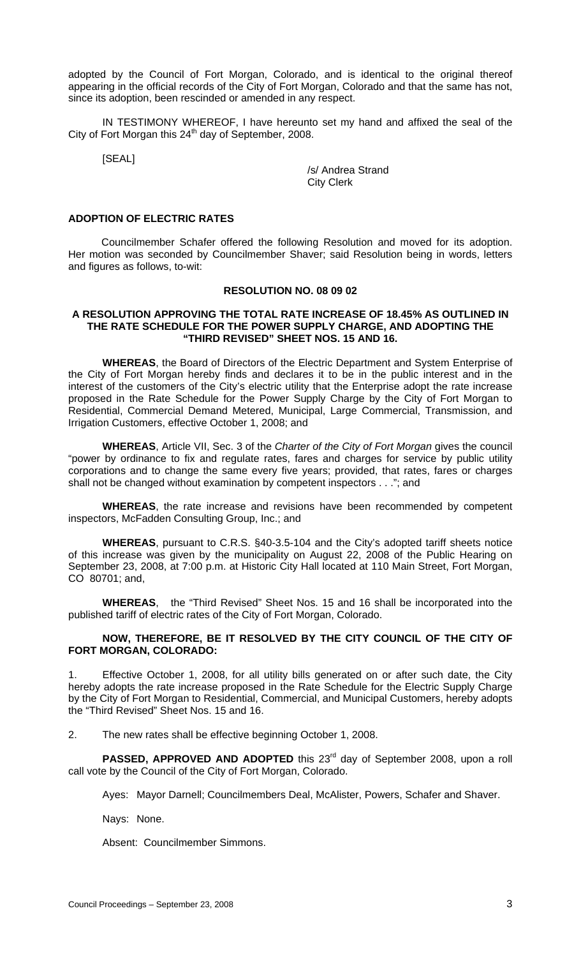adopted by the Council of Fort Morgan, Colorado, and is identical to the original thereof appearing in the official records of the City of Fort Morgan, Colorado and that the same has not, since its adoption, been rescinded or amended in any respect.

IN TESTIMONY WHEREOF, I have hereunto set my hand and affixed the seal of the City of Fort Morgan this 24<sup>th</sup> day of September, 2008.

[SEAL]

 /s/ Andrea Strand City Clerk

#### **ADOPTION OF ELECTRIC RATES**

 Councilmember Schafer offered the following Resolution and moved for its adoption. Her motion was seconded by Councilmember Shaver; said Resolution being in words, letters and figures as follows, to-wit:

### **RESOLUTION NO. 08 09 02**

#### **A RESOLUTION APPROVING THE TOTAL RATE INCREASE OF 18.45% AS OUTLINED IN THE RATE SCHEDULE FOR THE POWER SUPPLY CHARGE, AND ADOPTING THE "THIRD REVISED" SHEET NOS. 15 AND 16.**

**WHEREAS**, the Board of Directors of the Electric Department and System Enterprise of the City of Fort Morgan hereby finds and declares it to be in the public interest and in the interest of the customers of the City's electric utility that the Enterprise adopt the rate increase proposed in the Rate Schedule for the Power Supply Charge by the City of Fort Morgan to Residential, Commercial Demand Metered, Municipal, Large Commercial, Transmission, and Irrigation Customers, effective October 1, 2008; and

**WHEREAS**, Article VII, Sec. 3 of the *Charter of the City of Fort Morgan* gives the council "power by ordinance to fix and regulate rates, fares and charges for service by public utility corporations and to change the same every five years; provided, that rates, fares or charges shall not be changed without examination by competent inspectors . . ."; and

**WHEREAS**, the rate increase and revisions have been recommended by competent inspectors, McFadden Consulting Group, Inc.; and

**WHEREAS**, pursuant to C.R.S. §40-3.5-104 and the City's adopted tariff sheets notice of this increase was given by the municipality on August 22, 2008 of the Public Hearing on September 23, 2008, at 7:00 p.m. at Historic City Hall located at 110 Main Street, Fort Morgan, CO 80701; and,

**WHEREAS**, the "Third Revised" Sheet Nos. 15 and 16 shall be incorporated into the published tariff of electric rates of the City of Fort Morgan, Colorado.

# **NOW, THEREFORE, BE IT RESOLVED BY THE CITY COUNCIL OF THE CITY OF FORT MORGAN, COLORADO:**

1. Effective October 1, 2008, for all utility bills generated on or after such date, the City hereby adopts the rate increase proposed in the Rate Schedule for the Electric Supply Charge by the City of Fort Morgan to Residential, Commercial, and Municipal Customers, hereby adopts the "Third Revised" Sheet Nos. 15 and 16.

2. The new rates shall be effective beginning October 1, 2008.

**PASSED, APPROVED AND ADOPTED** this 23<sup>rd</sup> day of September 2008, upon a roll call vote by the Council of the City of Fort Morgan, Colorado.

Ayes: Mayor Darnell; Councilmembers Deal, McAlister, Powers, Schafer and Shaver.

Nays: None.

Absent: Councilmember Simmons.